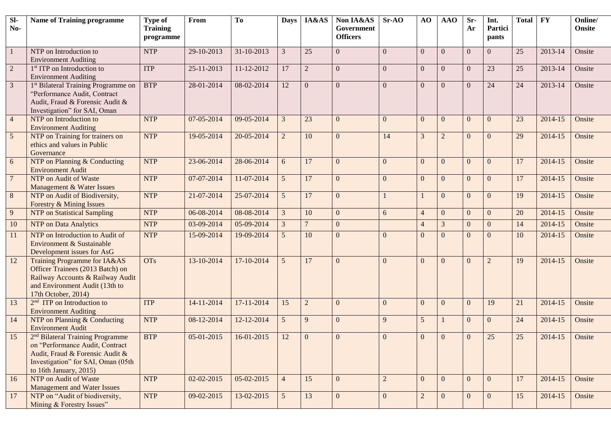| $\overline{sl}$<br>No- | <b>Name of Training programme</b>                                                                                                                                                  | <b>Type of</b><br><b>Training</b><br>programme | From             | To         | <b>Days</b>    | IA&AS           | Non IA&AS<br>Government<br><b>Officers</b> | $Sr-AO$        | AO             | AAO            | Sr-<br>Ar      | Int.<br>Partici<br>pants | <b>Total</b> | <b>FY</b> | Online/<br><b>Onsite</b> |
|------------------------|------------------------------------------------------------------------------------------------------------------------------------------------------------------------------------|------------------------------------------------|------------------|------------|----------------|-----------------|--------------------------------------------|----------------|----------------|----------------|----------------|--------------------------|--------------|-----------|--------------------------|
| $\mathbf{1}$           | NTP on Introduction to<br><b>Environment Auditing</b>                                                                                                                              | <b>NTP</b>                                     | 29-10-2013       | 31-10-2013 | $\mathfrak{Z}$ | 25              | $\mathbf{0}$                               | $\Omega$       | $\overline{0}$ | $\overline{0}$ | $\mathbf{0}$   | $\overline{0}$           | 25           | 2013-14   | Onsite                   |
| $\overline{2}$         | 1 <sup>st</sup> ITP on Introduction to<br><b>Environment Auditing</b>                                                                                                              | <b>ITP</b>                                     | 25-11-2013       | 11-12-2012 | 17             | $\overline{2}$  | $\overline{0}$                             | $\Omega$       | $\overline{0}$ | $\overline{0}$ | $\overline{0}$ | 23                       | 25           | 2013-14   | Onsite                   |
| $\overline{3}$         | 1st Bilateral Training Programme on<br>"Performance Audit, Contract<br>Audit, Fraud & Forensic Audit &<br>Investigation" for SAI, Oman                                             | <b>BTP</b>                                     | 28-01-2014       | 08-02-2014 | 12             | $\mathbf{0}$    | $\overline{0}$                             | $\Omega$       | $\overline{0}$ | $\mathbf{0}$   | $\theta$       | 24                       | 24           | 2013-14   | Onsite                   |
| $\overline{4}$         | NTP on Introduction to<br><b>Environment Auditing</b>                                                                                                                              | <b>NTP</b>                                     | 07-05-2014       | 09-05-2014 | 3              | 23              | $\overline{0}$                             | $\Omega$       | $\overline{0}$ | $\overline{0}$ | $\theta$       | $\theta$                 | 23           | 2014-15   | Onsite                   |
| $5\overline{)}$        | NTP on Training for trainers on<br>ethics and values in Public<br>Governance                                                                                                       | <b>NTP</b>                                     | 19-05-2014       | 20-05-2014 | $\overline{2}$ | 10              | $\overline{0}$                             | 14             | 3              | $\overline{2}$ | $\theta$       | $\theta$                 | 29           | 2014-15   | Onsite                   |
| 6                      | NTP on Planning & Conducting<br><b>Environment Audit</b>                                                                                                                           | <b>NTP</b>                                     | 23-06-2014       | 28-06-2014 | 6              | 17              | $\overline{0}$                             | $\Omega$       | $\overline{0}$ | $\overline{0}$ | $\theta$       | $\theta$                 | 17           | 2014-15   | Onsite                   |
| $\overline{7}$         | NTP on Audit of Waste<br>Management & Water Issues                                                                                                                                 | <b>NTP</b>                                     | 07-07-2014       | 11-07-2014 | 5 <sup>5</sup> | 17              | $\overline{0}$                             | $\Omega$       | $\mathbf{0}$   | $\overline{0}$ | $\theta$       | $\overline{0}$           | 17           | 2014-15   | Onsite                   |
| 8                      | NTP on Audit of Biodiversity,<br>Forestry & Mining Issues                                                                                                                          | <b>NTP</b>                                     | 21-07-2014       | 25-07-2014 | 5 <sup>5</sup> | 17              | $\overline{0}$                             |                |                | $\overline{0}$ | $\theta$       | $\Omega$                 | 19           | 2014-15   | Onsite                   |
| 9                      | NTP on Statistical Sampling                                                                                                                                                        | <b>NTP</b>                                     | 06-08-2014       | 08-08-2014 | $\mathfrak{Z}$ | 10              | $\mathbf{0}$                               | 6              | $\overline{4}$ | $\overline{0}$ | $\overline{0}$ | $\overline{0}$           | 20           | 2014-15   | Onsite                   |
| 10                     | NTP on Data Analytics                                                                                                                                                              | <b>NTP</b>                                     | 03-09-2014       | 05-09-2014 | $\mathfrak{Z}$ | $7\phantom{.0}$ | $\mathbf{0}$                               |                | $\overline{4}$ | $\mathfrak{Z}$ | $\mathbf{0}$   | $\Omega$                 | 14           | 2014-15   | Onsite                   |
| 11                     | NTP on Introduction to Audit of<br><b>Environment &amp; Sustainable</b><br>Development issues for AsG                                                                              | <b>NTP</b>                                     | 15-09-2014       | 19-09-2014 | 5              | 10              | $\Omega$                                   | $\Omega$       | $\mathbf{0}$   | $\overline{0}$ | $\Omega$       | $\overline{0}$           | 10           | 2014-15   | Onsite                   |
| 12                     | Training Programme for IA&AS<br>Officer Trainees (2013 Batch) on<br>Railway Accounts & Railway Audit<br>and Environment Audit (13th to<br>17th October, 2014)                      | <b>OTs</b>                                     | 13-10-2014       | 17-10-2014 | 5 <sup>5</sup> | 17              | $\Omega$                                   | $\Omega$       | $\Omega$       | $\mathbf{0}$   | $\theta$       | $\overline{2}$           | 19           | 2014-15   | Onsite                   |
| 13                     | $2nd$ ITP on Introduction to<br><b>Environment Auditing</b>                                                                                                                        | <b>ITP</b>                                     | 14-11-2014       | 17-11-2014 | 15             | $\overline{2}$  | $\Omega$                                   | $\Omega$       | $\overline{0}$ | $\mathbf{0}$   | $\theta$       | 19                       | 21           | 2014-15   | Onsite                   |
| 14                     | NTP on Planning & Conducting<br><b>Environment Audit</b>                                                                                                                           | <b>NTP</b>                                     | 08-12-2014       | 12-12-2014 | 5 <sup>5</sup> | 9               | $\Omega$                                   | 9              | 5              |                | $\theta$       | $\Omega$                 | 24           | 2014-15   | Onsite                   |
| 15                     | 2 <sup>nd</sup> Bilateral Training Programme<br>on "Performance Audit, Contract<br>Audit, Fraud & Forensic Audit &<br>Investigation" for SAI, Oman (05th<br>to 16th January, 2015) | <b>BTP</b>                                     | $05-01-2015$     | 16-01-2015 | 12             | $\mathbf{0}$    | $\mathbf{0}$                               | $\Omega$       | $\mathbf{0}$   | $\mathbf{0}$   | $\mathbf{0}$   | 25                       | 25           | 2014-15   | Onsite                   |
| 16                     | NTP on Audit of Waste<br>Management and Water Issues                                                                                                                               | <b>NTP</b>                                     | $02 - 02 - 2015$ | 05-02-2015 | $\overline{4}$ | 15              | $\overline{0}$                             | $\overline{2}$ | $\overline{0}$ | $\overline{0}$ | $\theta$       | $\overline{0}$           | 17           | 2014-15   | Onsite                   |
| 17                     | NTP on "Audit of biodiversity,<br>Mining & Forestry Issues"                                                                                                                        | <b>NTP</b>                                     | 09-02-2015       | 13-02-2015 | 5 <sup>5</sup> | 13              | $\overline{0}$                             | $\overline{0}$ | $\overline{2}$ | $\overline{0}$ | $\overline{0}$ | $\mathbf{0}$             | 15           | 2014-15   | Onsite                   |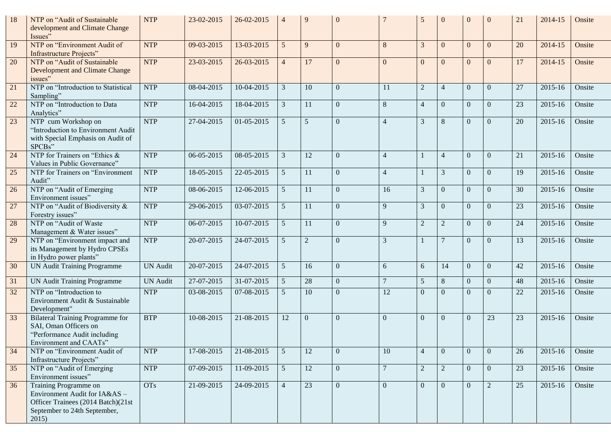| 18     | NTP on "Audit of Sustainable<br>development and Climate Change<br>Issues"                                                             | <b>NTP</b>      | 23-02-2015   | 26-02-2015 | $\overline{\mathcal{A}}$ | 9              | $\Omega$       |                | 5              | $\mathbf{0}$     | $\Omega$ | $\Omega$       | 21 | 2014-15 | Onsite |
|--------|---------------------------------------------------------------------------------------------------------------------------------------|-----------------|--------------|------------|--------------------------|----------------|----------------|----------------|----------------|------------------|----------|----------------|----|---------|--------|
| 19     | NTP on "Environment Audit of<br><b>Infrastructure Projects"</b>                                                                       | <b>NTP</b>      | 09-03-2015   | 13-03-2015 | 5 <sup>5</sup>           | 9              | $\overline{0}$ | 8              | 3              | $\overline{0}$   | $\Omega$ | $\theta$       | 20 | 2014-15 | Onsite |
| 20     | NTP on "Audit of Sustainable<br>Development and Climate Change<br>issues"                                                             | <b>NTP</b>      | 23-03-2015   | 26-03-2015 | $\overline{4}$           | 17             | $\Omega$       | $\Omega$       | $\theta$       | $\overline{0}$   | $\Omega$ | $\Omega$       | 17 | 2014-15 | Onsite |
| 21     | NTP on "Introduction to Statistical<br>Sampling"                                                                                      | <b>NTP</b>      | 08-04-2015   | 10-04-2015 | 3                        | 10             | $\Omega$       | 11             | $\overline{2}$ | $\overline{4}$   | $\Omega$ | $\Omega$       | 27 | 2015-16 | Onsite |
| 22     | NTP on "Introduction to Data<br>Analytics"                                                                                            | <b>NTP</b>      | 16-04-2015   | 18-04-2015 | $\mathfrak{Z}$           | 11             | $\Omega$       | 8              | $\overline{4}$ | $\overline{0}$   | $\Omega$ | $\Omega$       | 23 | 2015-16 | Onsite |
| 23     | NTP cum Workshop on<br>"Introduction to Environment Audit<br>with Special Emphasis on Audit of<br>SPCBs"                              | <b>NTP</b>      | 27-04-2015   | 01-05-2015 | $\mathfrak{S}$           | 5              | $\overline{0}$ | $\overline{4}$ | 3              | 8                | $\Omega$ | $\Omega$       | 20 | 2015-16 | Onsite |
| 24     | NTP for Trainers on "Ethics &<br>Values in Public Governance"                                                                         | <b>NTP</b>      | 06-05-2015   | 08-05-2015 | 3                        | 12             | $\Omega$       | $\overline{4}$ |                | $\overline{4}$   | $\Omega$ | $\theta$       | 21 | 2015-16 | Onsite |
| 25     | NTP for Trainers on "Environment<br>Audit"                                                                                            | <b>NTP</b>      | 18-05-2015   | 22-05-2015 | $5\overline{)}$          | 11             | $\overline{0}$ | $\overline{4}$ |                | 3                | $\Omega$ | $\Omega$       | 19 | 2015-16 | Onsite |
| 26     | NTP on "Audit of Emerging<br>Environment issues"                                                                                      | <b>NTP</b>      | 08-06-2015   | 12-06-2015 | $\mathfrak{S}$           | 11             | $\mathbf{0}$   | 16             | 3              | $\boldsymbol{0}$ | $\Omega$ | $\theta$       | 30 | 2015-16 | Onsite |
| $27\,$ | NTP on "Audit of Biodiversity &<br>Forestry issues"                                                                                   | <b>NTP</b>      | 29-06-2015   | 03-07-2015 | $\mathfrak{S}$           | 11             | $\overline{0}$ | 9              | 3              | $\boldsymbol{0}$ | $\Omega$ | $\overline{0}$ | 23 | 2015-16 | Onsite |
| 28     | NTP on "Audit of Waste<br>Management & Water issues"                                                                                  | <b>NTP</b>      | 06-07-2015   | 10-07-2015 | 5                        | 11             | $\mathbf{0}$   | 9              | $\mathbf{2}$   | $\sqrt{2}$       | $\theta$ | $\overline{0}$ | 24 | 2015-16 | Onsite |
| 29     | NTP on "Environment impact and<br>its Management by Hydro CPSEs<br>in Hydro power plants"                                             | <b>NTP</b>      | 20-07-2015   | 24-07-2015 | 5                        | $\overline{2}$ | $\mathbf{0}$   | 3              |                | $\overline{7}$   | $\Omega$ | $\Omega$       | 13 | 2015-16 | Onsite |
| 30     | UN Audit Training Programme                                                                                                           | <b>UN Audit</b> | 20-07-2015   | 24-07-2015 | 5                        | 16             | $\mathbf{0}$   | 6              | 6              | 14               | $\Omega$ | $\Omega$       | 42 | 2015-16 | Onsite |
| 31     | UN Audit Training Programme                                                                                                           | <b>UN</b> Audit | $27-07-2015$ | 31-07-2015 | $\mathfrak{S}$           | 28             | $\overline{0}$ | $\overline{7}$ | 5              | $8\,$            | $\Omega$ | $\overline{0}$ | 48 | 2015-16 | Onsite |
| 32     | NTP on "Introduction to<br>Environment Audit & Sustainable<br>Development"                                                            | <b>NTP</b>      | 03-08-2015   | 07-08-2015 | 5                        | 10             | $\overline{0}$ | 12             | $\overline{0}$ | $\overline{0}$   | $\Omega$ | $\Omega$       | 22 | 2015-16 | Onsite |
| 33     | Bilateral Training Programme for<br>SAI, Oman Officers on<br>"Performance Audit including<br>Environment and CAATs"                   | <b>BTP</b>      | 10-08-2015   | 21-08-2015 | 12                       | $\Omega$       | $\Omega$       | $\Omega$       | $\Omega$       | $\mathbf{0}$     | $\Omega$ | 23             | 23 | 2015-16 | Onsite |
| 34     | NTP on "Environment Audit of<br>Infrastructure Projects"                                                                              | <b>NTP</b>      | 17-08-2015   | 21-08-2015 | 5 <sup>5</sup>           | 12             | $\theta$       | 10             | $\overline{4}$ | $\overline{0}$   | $\Omega$ | $\theta$       | 26 | 2015-16 | Onsite |
| 35     | NTP on "Audit of Emerging"<br>Environment issues"                                                                                     | <b>NTP</b>      | 07-09-2015   | 11-09-2015 | 5 <sup>5</sup>           | 12             | $\overline{0}$ | $\overline{7}$ | $\overline{2}$ | $\overline{2}$   | $\theta$ | $\overline{0}$ | 23 | 2015-16 | Onsite |
| 36     | Training Programme on<br>Environment Audit for IA&AS -<br>Officer Trainees (2014 Batch)(21st<br>September to 24th September,<br>2015) | <b>OTs</b>      | 21-09-2015   | 24-09-2015 | $\overline{4}$           | 23             | $\overline{0}$ | $\Omega$       | $\mathbf{0}$   | $\overline{0}$   | $\theta$ | $\overline{2}$ | 25 | 2015-16 | Onsite |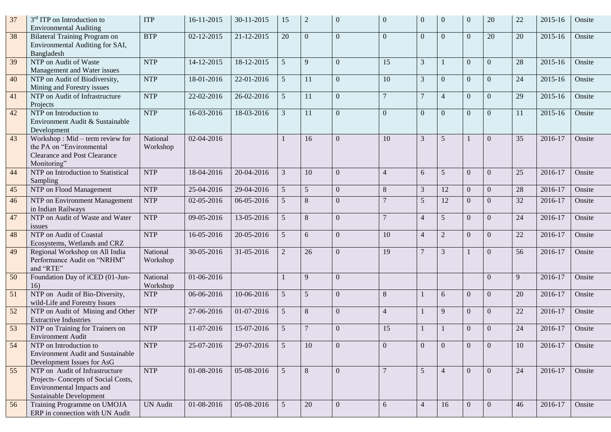| 37     | 3 <sup>rd</sup> ITP on Introduction to<br><b>Environmental Auditing</b>                                                       | <b>ITP</b>           | 16-11-2015 | 30-11-2015 | 15              | $\overline{2}$  | $\overline{0}$   | $\overline{0}$ | $\overline{0}$ | $\mathbf{0}$   | $\theta$       | 20             | 22 | 2015-16 | Onsite |
|--------|-------------------------------------------------------------------------------------------------------------------------------|----------------------|------------|------------|-----------------|-----------------|------------------|----------------|----------------|----------------|----------------|----------------|----|---------|--------|
| 38     | <b>Bilateral Training Program on</b><br>Environmental Auditing for SAI,<br>Bangladesh                                         | <b>BTP</b>           | 02-12-2015 | 21-12-2015 | 20              | $\overline{0}$  | $\overline{0}$   | $\Omega$       | $\overline{0}$ | $\overline{0}$ | $\Omega$       | 20             | 20 | 2015-16 | Onsite |
| 39     | NTP on Audit of Waste<br>Management and Water issues                                                                          | <b>NTP</b>           | 14-12-2015 | 18-12-2015 | 5               | 9               | $\overline{0}$   | 15             | 3              |                | $\Omega$       | $\theta$       | 28 | 2015-16 | Onsite |
| 40     | NTP on Audit of Biodiversity,<br>Mining and Forestry issues                                                                   | <b>NTP</b>           | 18-01-2016 | 22-01-2016 | 5               | 11              | $\overline{0}$   | 10             | 3              | $\overline{0}$ | $\Omega$       | $\overline{0}$ | 24 | 2015-16 | Onsite |
| 41     | NTP on Audit of Infrastructure<br>Projects                                                                                    | <b>NTP</b>           | 22-02-2016 | 26-02-2016 | $5\overline{)}$ | 11              | $\overline{0}$   | $\overline{7}$ | $\overline{7}$ | $\overline{4}$ | $\theta$       | $\overline{0}$ | 29 | 2015-16 | Onsite |
| 42     | NTP on Introduction to<br>Environment Audit & Sustainable<br>Development                                                      | <b>NTP</b>           | 16-03-2016 | 18-03-2016 | $\mathfrak{Z}$  | 11              | $\Omega$         | $\Omega$       | $\mathbf{0}$   | $\overline{0}$ | $\Omega$       | $\mathbf{0}$   | 11 | 2015-16 | Onsite |
| 43     | Workshop: Mid – term review for<br>the PA on "Environmental<br><b>Clearance and Post Clearance</b><br>Monitoring"             | National<br>Workshop | 02-04-2016 |            |                 | 16              | $\Omega$         | 10             | 3              | 5              |                | $\Omega$       | 35 | 2016-17 | Onsite |
| 44     | NTP on Introduction to Statistical<br>Sampling                                                                                | <b>NTP</b>           | 18-04-2016 | 20-04-2016 | 3               | 10              | $\overline{0}$   | $\overline{4}$ | 6              | 5              | $\theta$       | $\mathbf{0}$   | 25 | 2016-17 | Onsite |
| $45\,$ | NTP on Flood Management                                                                                                       | <b>NTP</b>           | 25-04-2016 | 29-04-2016 | $5\overline{)}$ | $5\overline{)}$ | $\overline{0}$   | 8              | $\mathfrak{Z}$ | 12             | $\overline{0}$ | $\overline{0}$ | 28 | 2016-17 | Onsite |
| 46     | NTP on Environment Management<br>in Indian Railways                                                                           | <b>NTP</b>           | 02-05-2016 | 06-05-2016 | $\mathfrak{H}$  | 8               | $\Omega$         |                | 5              | 12             | $\Omega$       | $\Omega$       | 32 | 2016-17 | Onsite |
| 47     | NTP on Audit of Waste and Water<br>issues                                                                                     | <b>NTP</b>           | 09-05-2016 | 13-05-2016 | $5\overline{)}$ | 8               | $\overline{0}$   | $\overline{7}$ | $\overline{4}$ | 5              | $\Omega$       | $\Omega$       | 24 | 2016-17 | Onsite |
| 48     | NTP on Audit of Coastal<br>Ecosystems, Wetlands and CRZ                                                                       | <b>NTP</b>           | 16-05-2016 | 20-05-2016 | $5\overline{)}$ | 6               | $\Omega$         | 10             | $\overline{4}$ | $\overline{2}$ | $\Omega$       | $\Omega$       | 22 | 2016-17 | Onsite |
| 49     | Regional Workshop on All India<br>Performance Audit on "NRHM"<br>and "RTE"                                                    | National<br>Workshop | 30-05-2016 | 31-05-2016 | $\overline{2}$  | 26              | $\Omega$         | 19             | $\overline{7}$ | 3              |                | $\Omega$       | 56 | 2016-17 | Onsite |
| 50     | Foundation Day of iCED (01-Jun-<br>16)                                                                                        | National<br>Workshop | 01-06-2016 |            |                 | 9               | $\overline{0}$   |                |                |                |                | $\Omega$       | 9  | 2016-17 | Onsite |
| 51     | NTP on Audit of Bio-Diversity,<br>wild-Life and Forestry Issues                                                               | <b>NTP</b>           | 06-06-2016 | 10-06-2016 | 5               | 5               | $\overline{0}$   | 8              |                | 6              | $\Omega$       | $\overline{0}$ | 20 | 2016-17 | Onsite |
| 52     | NTP on Audit of Mining and Other<br><b>Extractive Industries</b>                                                              | <b>NTP</b>           | 27-06-2016 | 01-07-2016 | $\mathfrak{S}$  | 8               | $\overline{0}$   | $\overline{4}$ |                | 9              | $\Omega$       | $\overline{0}$ | 22 | 2016-17 | Onsite |
| 53     | NTP on Training for Trainers on<br><b>Environment Audit</b>                                                                   | <b>NTP</b>           | 11-07-2016 | 15-07-2016 | 5               | $\overline{7}$  | $\Omega$         | 15             |                |                | $\Omega$       | $\Omega$       | 24 | 2016-17 | Onsite |
| 54     | NTP on Introduction to<br><b>Environment Audit and Sustainable</b><br>Development Issues for AsG                              | <b>NTP</b>           | 25-07-2016 | 29-07-2016 | $5\overline{)}$ | 10              | $\overline{0}$   | $\Omega$       | $\theta$       | $\mathbf{0}$   | $\Omega$       | $\theta$       | 10 | 2016-17 | Onsite |
| 55     | NTP on Audit of Infrastructure<br>Projects- Concepts of Social Costs,<br>Environmental Impacts and<br>Sustainable Development | <b>NTP</b>           | 01-08-2016 | 05-08-2016 | 5 <sup>5</sup>  | 8               | $\overline{0}$   |                | $\overline{5}$ | $\overline{4}$ | $\Omega$       | $\theta$       | 24 | 2016-17 | Onsite |
| 56     | Training Programme on UMOJA<br>ERP in connection with UN Audit                                                                | <b>UN Audit</b>      | 01-08-2016 | 05-08-2016 | $5\overline{)}$ | 20              | $\boldsymbol{0}$ | 6              | $\overline{4}$ | 16             | $\Omega$       | $\mathbf{0}$   | 46 | 2016-17 | Onsite |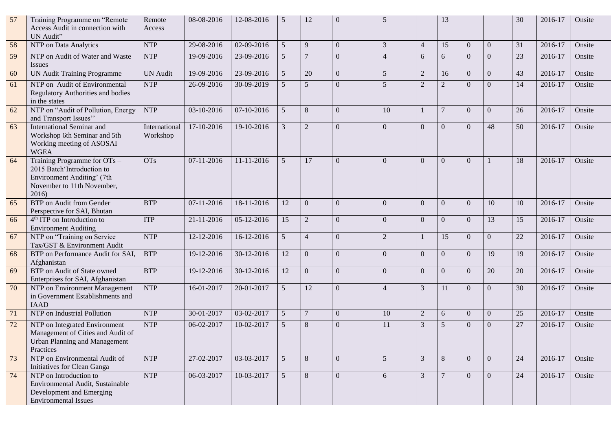| 57 | Training Programme on "Remote<br>Access Audit in connection with<br>UN Audit"                                                   | Remote<br>Access          | 08-08-2016   | 12-08-2016 | 5               | 12             | $\Omega$       | 5               |                | 13             |          |                | 30 | 2016-17 | Onsite |
|----|---------------------------------------------------------------------------------------------------------------------------------|---------------------------|--------------|------------|-----------------|----------------|----------------|-----------------|----------------|----------------|----------|----------------|----|---------|--------|
| 58 | NTP on Data Analytics                                                                                                           | <b>NTP</b>                | 29-08-2016   | 02-09-2016 | 5               | 9              | $\Omega$       | 3               | $\overline{4}$ | 15             | $\Omega$ | $\Omega$       | 31 | 2016-17 | Onsite |
| 59 | NTP on Audit of Water and Waste<br><b>Issues</b>                                                                                | <b>NTP</b>                | 19-09-2016   | 23-09-2016 | 5               |                | $\overline{0}$ | $\overline{4}$  | 6              | 6              | $\Omega$ | $\Omega$       | 23 | 2016-17 | Onsite |
| 60 | <b>UN Audit Training Programme</b>                                                                                              | <b>UN</b> Audit           | 19-09-2016   | 23-09-2016 | 5 <sup>5</sup>  | 20             | $\overline{0}$ | $5\overline{)}$ | $\overline{2}$ | 16             | $\Omega$ | $\Omega$       | 43 | 2016-17 | Onsite |
| 61 | NTP on Audit of Environmental<br>Regulatory Authorities and bodies<br>in the states                                             | <b>NTP</b>                | 26-09-2016   | 30-09-2019 | 5               | 5              | $\overline{0}$ | 5               | $\overline{c}$ | $\sqrt{2}$     | $\Omega$ | $\Omega$       | 14 | 2016-17 | Onsite |
| 62 | NTP on "Audit of Pollution, Energy<br>and Transport Issues"                                                                     | <b>NTP</b>                | 03-10-2016   | 07-10-2016 | 5               | 8              | $\overline{0}$ | 10              |                | $\overline{7}$ | $\Omega$ | $\Omega$       | 26 | 2016-17 | Onsite |
| 63 | International Seminar and<br>Workshop 6th Seminar and 5th<br>Working meeting of ASOSAI<br><b>WGEA</b>                           | International<br>Workshop | 17-10-2016   | 19-10-2016 | 3               | $\overline{2}$ | $\overline{0}$ | $\overline{0}$  | $\overline{0}$ | $\overline{0}$ | $\Omega$ | 48             | 50 | 2016-17 | Onsite |
| 64 | Training Programme for OTs -<br>2015 Batch'Introduction to<br>Environment Auditing' (7th<br>November to 11th November,<br>2016) | <b>OTs</b>                | 07-11-2016   | 11-11-2016 | 5               | 17             | $\mathbf{0}$   | $\Omega$        | $\mathbf{0}$   | $\overline{0}$ | $\Omega$ |                | 18 | 2016-17 | Onsite |
| 65 | <b>BTP</b> on Audit from Gender<br>Perspective for SAI, Bhutan                                                                  | <b>BTP</b>                | 07-11-2016   | 18-11-2016 | 12              | $\overline{0}$ | $\mathbf{0}$   | $\overline{0}$  | $\mathbf{0}$   | $\overline{0}$ | $\Omega$ | 10             | 10 | 2016-17 | Onsite |
| 66 | 4 <sup>th</sup> ITP on Introduction to<br><b>Environment Auditing</b>                                                           | <b>ITP</b>                | 21-11-2016   | 05-12-2016 | 15              | $\overline{2}$ | $\mathbf{0}$   | $\Omega$        | $\overline{0}$ | $\overline{0}$ | $\Omega$ | 13             | 15 | 2016-17 | Onsite |
| 67 | NTP on "Training on Service<br>Tax/GST & Environment Audit                                                                      | <b>NTP</b>                | 12-12-2016   | 16-12-2016 | 5               | $\overline{4}$ | $\mathbf{0}$   | $\overline{2}$  |                | 15             | $\Omega$ | $\Omega$       | 22 | 2016-17 | Onsite |
| 68 | BTP on Performance Audit for SAI,<br>Afghanistan                                                                                | <b>BTP</b>                | 19-12-2016   | 30-12-2016 | 12              | $\mathbf{0}$   | $\overline{0}$ | $\Omega$        | $\mathbf{0}$   | $\overline{0}$ | $\Omega$ | 19             | 19 | 2016-17 | Onsite |
| 69 | BTP on Audit of State owned<br>Enterprises for SAI, Afghanistan                                                                 | <b>BTP</b>                | 19-12-2016   | 30-12-2016 | 12              | $\Omega$       | $\Omega$       | $\Omega$        | $\mathbf{0}$   | $\overline{0}$ | $\Omega$ | 20             | 20 | 2016-17 | Onsite |
| 70 | NTP on Environment Management<br>in Government Establishments and<br><b>IAAD</b>                                                | <b>NTP</b>                | 16-01-2017   | 20-01-2017 | $5\overline{)}$ | 12             | $\overline{0}$ | $\overline{4}$  | 3              | 11             | $\Omega$ | $\Omega$       | 30 | 2016-17 | Onsite |
| 71 | NTP on Industrial Pollution                                                                                                     | <b>NTP</b>                | 30-01-2017   | 03-02-2017 | 5               | $\overline{7}$ | $\Omega$       | 10              | $\overline{2}$ | 6              | $\Omega$ | $\mathbf{0}$   | 25 | 2016-17 | Onsite |
| 72 | NTP on Integrated Environment<br>Management of Cities and Audit of<br><b>Urban Planning and Management</b><br>Practices         | <b>NTP</b>                | 06-02-2017   | 10-02-2017 | 5               | 8              | $\Omega$       | 11              | 3              | 5              | $\Omega$ | $\Omega$       | 27 | 2016-17 | Onsite |
| 73 | NTP on Environmental Audit of<br>Initiatives for Clean Ganga                                                                    | <b>NTP</b>                | 27-02-2017   | 03-03-2017 | 5 <sup>5</sup>  | $8\phantom{.}$ | $\overline{0}$ | 5 <sup>5</sup>  | 3              | 8              | $\Omega$ | $\overline{0}$ | 24 | 2016-17 | Onsite |
| 74 | NTP on Introduction to<br>Environmental Audit, Sustainable<br>Development and Emerging<br><b>Environmental Issues</b>           | <b>NTP</b>                | $06-03-2017$ | 10-03-2017 | 5 <sup>5</sup>  | 8              | $\Omega$       | 6               | 3              | $\overline{7}$ | $\Omega$ | $\Omega$       | 24 | 2016-17 | Onsite |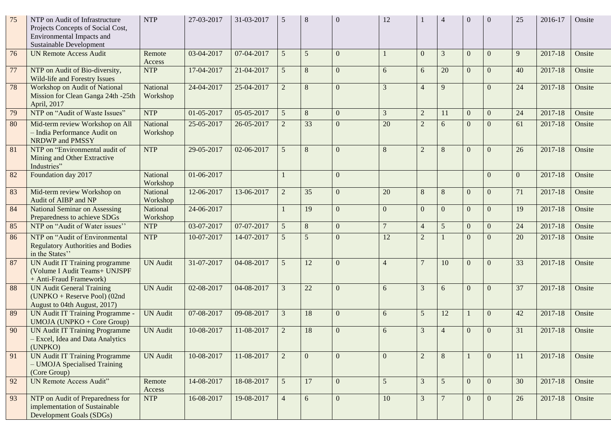| 75 | NTP on Audit of Infrastructure<br>Projects Concepts of Social Cost,<br>Environmental Impacts and<br><b>Sustainable Development</b> | <b>NTP</b>           | 27-03-2017 | 31-03-2017 | 5              | 8              | $\Omega$       | 12              |                |                 |              | $\Omega$       | 25           | 2016-17 | Onsite |
|----|------------------------------------------------------------------------------------------------------------------------------------|----------------------|------------|------------|----------------|----------------|----------------|-----------------|----------------|-----------------|--------------|----------------|--------------|---------|--------|
| 76 | <b>UN Remote Access Audit</b>                                                                                                      | Remote<br>Access     | 03-04-2017 | 07-04-2017 | 5              | 5              | $\mathbf{0}$   |                 | $\Omega$       | 3               | $\theta$     | $\Omega$       | $\mathbf{Q}$ | 2017-18 | Onsite |
| 77 | NTP on Audit of Bio-diversity,<br>Wild-life and Forestry Issues                                                                    | <b>NTP</b>           | 17-04-2017 | 21-04-2017 | 5              | 8              | $\mathbf{0}$   | 6               | 6              | 20              | $\Omega$     | $\overline{0}$ | 40           | 2017-18 | Onsite |
| 78 | Workshop on Audit of National<br>Mission for Clean Ganga 24th -25th<br>April, 2017                                                 | National<br>Workshop | 24-04-2017 | 25-04-2017 | $\overline{2}$ | 8              | $\Omega$       | 3               | $\overline{4}$ | 9               |              | $\Omega$       | 24           | 2017-18 | Onsite |
| 79 | NTP on "Audit of Waste Issues"                                                                                                     | <b>NTP</b>           | 01-05-2017 | 05-05-2017 | 5              | 8              | $\overline{0}$ | $\mathfrak{Z}$  | $\sqrt{2}$     | 11              | $\theta$     | $\overline{0}$ | 24           | 2017-18 | Onsite |
| 80 | Mid-term review Workshop on All<br>- India Performance Audit on<br>NRDWP and PMSSY                                                 | National<br>Workshop | 25-05-2017 | 26-05-2017 | $\overline{2}$ | 33             | $\mathbf{0}$   | 20              | $\overline{2}$ | 6               | $\Omega$     | $\Omega$       | 61           | 2017-18 | Onsite |
| 81 | NTP on "Environmental audit of<br>Mining and Other Extractive<br>Industries"                                                       | <b>NTP</b>           | 29-05-2017 | 02-06-2017 | 5              | 8              | $\Omega$       | 8               | $\overline{2}$ | $\,8\,$         | $\Omega$     | $\Omega$       | 26           | 2017-18 | Onsite |
| 82 | Foundation day 2017                                                                                                                | National<br>Workshop | 01-06-2017 |            |                |                | $\Omega$       |                 |                |                 |              | $\Omega$       | $\theta$     | 2017-18 | Onsite |
| 83 | Mid-term review Workshop on<br>Audit of AIBP and NP                                                                                | National<br>Workshop | 12-06-2017 | 13-06-2017 | $\overline{2}$ | 35             | $\mathbf{0}$   | 20              | $\,8\,$        | 8               | $\Omega$     | $\theta$       | 71           | 2017-18 | Onsite |
| 84 | <b>National Seminar on Assessing</b><br>Preparedness to achieve SDGs                                                               | National<br>Workshop | 24-06-2017 |            |                | 19             | $\Omega$       | $\Omega$        | $\mathbf{0}$   | $\theta$        | $\Omega$     | $\Omega$       | 19           | 2017-18 | Onsite |
| 85 | NTP on "Audit of Water issues"                                                                                                     | <b>NTP</b>           | 03-07-2017 | 07-07-2017 | 5              | 8              | $\overline{0}$ | $7\phantom{.0}$ | $\overline{4}$ | $5\overline{)}$ | $\Omega$     | $\mathbf{0}$   | 24           | 2017-18 | Onsite |
| 86 | NTP on "Audit of Environmental<br><b>Regulatory Authorities and Bodies</b><br>in the States"                                       | <b>NTP</b>           | 10-07-2017 | 14-07-2017 | 5              | $\overline{5}$ | $\Omega$       | 12              | $\overline{2}$ |                 | $\Omega$     | $\theta$       | 20           | 2017-18 | Onsite |
| 87 | UN Audit IT Training programme<br>(Volume I Audit Teams+ UNJSPF<br>+ Anti-Fraud Framework)                                         | <b>UN Audit</b>      | 31-07-2017 | 04-08-2017 | 5              | 12             | $\mathbf{0}$   | $\overline{4}$  | $\overline{7}$ | 10              | $\Omega$     | $\theta$       | 33           | 2017-18 | Onsite |
| 88 | <b>UN Audit General Training</b><br>(UNPKO + Reserve Pool) (02nd<br>August to 04th August, 2017)                                   | <b>UN Audit</b>      | 02-08-2017 | 04-08-2017 | $\overline{3}$ | 22             | $\Omega$       | 6               | 3              | 6               | $\Omega$     | $\Omega$       | 37           | 2017-18 | Onsite |
| 89 | UN Audit IT Training Programme -<br><b>UMOJA</b> (UNPKO + Core Group)                                                              | <b>UN Audit</b>      | 07-08-2017 | 09-08-2017 | 3              | 18             | $\Omega$       | 6               | 5              | 12              |              | $\theta$       | 42           | 2017-18 | Onsite |
| 90 | <b>UN Audit IT Training Programme</b><br>- Excel, Idea and Data Analytics<br>(UNPKO)                                               | <b>UN Audit</b>      | 10-08-2017 | 11-08-2017 | $\overline{2}$ | 18             | $\Omega$       | 6               | 3              | $\overline{4}$  | $\Omega$     | $\Omega$       | 31           | 2017-18 | Onsite |
| 91 | <b>UN Audit IT Training Programme</b><br>- UMOJA Specialised Training<br>(Core Group)                                              | <b>UN Audit</b>      | 10-08-2017 | 11-08-2017 | $\overline{2}$ | $\theta$       | $\overline{0}$ | $\theta$        | $\sqrt{2}$     | 8               |              | $\overline{0}$ | 11           | 2017-18 | Onsite |
| 92 | UN Remote Access Audit"                                                                                                            | Remote<br>Access     | 14-08-2017 | 18-08-2017 | 5 <sup>5</sup> | 17             | $\overline{0}$ | 5 <sup>5</sup>  | $\mathfrak{Z}$ | $5\overline{)}$ | $\Omega$     | $\overline{0}$ | 30           | 2017-18 | Onsite |
| 93 | NTP on Audit of Preparedness for<br>implementation of Sustainable<br>Development Goals (SDGs)                                      | <b>NTP</b>           | 16-08-2017 | 19-08-2017 | $\overline{4}$ | 6              | $\overline{0}$ | 10              | 3              | $\overline{7}$  | $\mathbf{0}$ | $\overline{0}$ | 26           | 2017-18 | Onsite |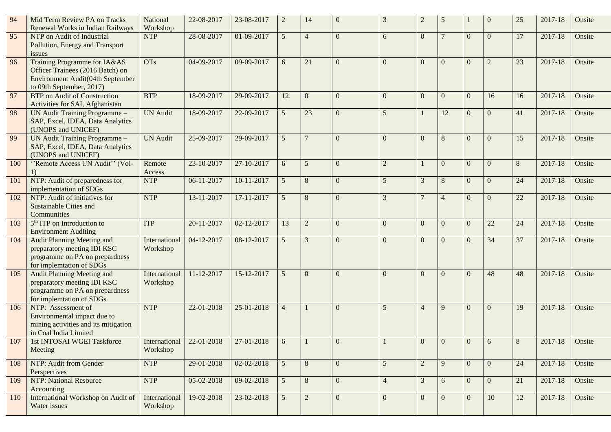| 94  | Mid Term Review PA on Tracks<br>Renewal Works in Indian Railways                                                                 | National<br>Workshop      | 22-08-2017 | 23-08-2017 | $\overline{2}$ | 14             | $\Omega$       | 3              | $\overline{2}$ | 5                |          | $\mathbf{0}$   | 25 | 2017-18     | Onsite |
|-----|----------------------------------------------------------------------------------------------------------------------------------|---------------------------|------------|------------|----------------|----------------|----------------|----------------|----------------|------------------|----------|----------------|----|-------------|--------|
| 95  | NTP on Audit of Industrial<br>Pollution, Energy and Transport<br><i>issues</i>                                                   | <b>NTP</b>                | 28-08-2017 | 01-09-2017 | 5              | $\overline{4}$ | $\Omega$       | 6              | $\mathbf{0}$   | $\tau$           | $\Omega$ | $\Omega$       | 17 | 2017-18     | Onsite |
| 96  | Training Programme for IA&AS<br>Officer Trainees (2016 Batch) on<br>Environment Audit(04th September<br>to 09th September, 2017) | <b>OTs</b>                | 04-09-2017 | 09-09-2017 | 6              | 21             | $\overline{0}$ | $\Omega$       | $\Omega$       | $\overline{0}$   | $\Omega$ | $\overline{2}$ | 23 | 2017-18     | Onsite |
| 97  | <b>BTP</b> on Audit of Construction<br>Activities for SAI, Afghanistan                                                           | <b>BTP</b>                | 18-09-2017 | 29-09-2017 | 12             | $\mathbf{0}$   | $\overline{0}$ | $\Omega$       | $\mathbf{0}$   | $\mathbf{0}$     | $\Omega$ | 16             | 16 | 2017-18     | Onsite |
| 98  | UN Audit Training Programme -<br>SAP, Excel, IDEA, Data Analytics<br>(UNOPS and UNICEF)                                          | <b>UN Audit</b>           | 18-09-2017 | 22-09-2017 | 5              | 23             | $\overline{0}$ | 5              |                | 12               | $\Omega$ | $\mathbf{0}$   | 41 | 2017-18     | Onsite |
| 99  | UN Audit Training Programme -<br>SAP, Excel, IDEA, Data Analytics<br>(UNOPS and UNICEF)                                          | <b>UN Audit</b>           | 25-09-2017 | 29-09-2017 | 5              | $\overline{7}$ | $\Omega$       | $\Omega$       | $\mathbf{0}$   | $\,8\,$          | $\Omega$ | $\Omega$       | 15 | 2017-18     | Onsite |
| 100 | "Remote Access UN Audit" (Vol-<br>$\left( \right)$                                                                               | Remote<br>Access          | 23-10-2017 | 27-10-2017 | 6              | 5              | $\overline{0}$ | $\overline{2}$ |                | $\boldsymbol{0}$ | $\Omega$ | $\overline{0}$ | 8  | 2017-18     | Onsite |
| 101 | NTP: Audit of preparedness for<br>implementation of SDGs                                                                         | <b>NTP</b>                | 06-11-2017 | 10-11-2017 | 5              | $8\phantom{.}$ | $\overline{0}$ | 5              | 3              | $\,8\,$          | $\theta$ | $\overline{0}$ | 24 | 2017-18     | Onsite |
| 102 | NTP: Audit of initiatives for<br><b>Sustainable Cities and</b><br>Communities                                                    | <b>NTP</b>                | 13-11-2017 | 17-11-2017 | 5              | 8              | $\overline{0}$ | 3              | $\overline{7}$ | $\overline{4}$   | $\Omega$ | $\mathbf{0}$   | 22 | 2017-18     | Onsite |
| 103 | 5 <sup>th</sup> ITP on Introduction to<br><b>Environment Auditing</b>                                                            | <b>ITP</b>                | 20-11-2017 | 02-12-2017 | 13             | $\overline{2}$ | $\overline{0}$ | $\Omega$       | $\overline{0}$ | $\boldsymbol{0}$ | $\Omega$ | $22\,$         | 24 | 2017-18     | Onsite |
| 104 | <b>Audit Planning Meeting and</b><br>preparatory meeting IDI KSC<br>programme on PA on prepardness<br>for implemtation of SDGs   | International<br>Workshop | 04-12-2017 | 08-12-2017 | 5              | $\overline{3}$ | $\overline{0}$ | $\Omega$       | $\mathbf{0}$   | $\overline{0}$   | $\Omega$ | 34             | 37 | 2017-18     | Onsite |
| 105 | Audit Planning Meeting and<br>preparatory meeting IDI KSC<br>programme on PA on prepardness<br>for implemtation of SDGs          | International<br>Workshop | 11-12-2017 | 15-12-2017 | 5              | $\theta$       | $\Omega$       | $\Omega$       | $\Omega$       | $\Omega$         | $\Omega$ | 48             | 48 | $2017 - 18$ | Onsite |
| 106 | NTP: Assessment of<br>Environmental impact due to<br>mining activities and its mitigation<br>in Coal India Limited               | <b>NTP</b>                | 22-01-2018 | 25-01-2018 | $\overline{4}$ |                | $\mathbf{0}$   | 5              | $\overline{4}$ | 9                | $\Omega$ | $\overline{0}$ | 19 | 2017-18     | Onsite |
| 107 | 1st INTOSAI WGEI Taskforce<br>Meeting                                                                                            | International<br>Workshop | 22-01-2018 | 27-01-2018 | 6              |                | $\overline{0}$ |                | $\overline{0}$ | $\overline{0}$   |          | 6              | 8  | 2017-18     | Onsite |
| 108 | NTP: Audit from Gender<br>Perspectives                                                                                           | <b>NTP</b>                | 29-01-2018 | 02-02-2018 | 5 <sup>5</sup> | 8              | $\overline{0}$ | 5 <sup>5</sup> | $\overline{2}$ | 9                | $\theta$ | $\overline{0}$ | 24 | 2017-18     | Onsite |
| 109 | <b>NTP: National Resource</b><br>Accounting                                                                                      | <b>NTP</b>                | 05-02-2018 | 09-02-2018 | 5 <sup>5</sup> | 8              | $\overline{0}$ | $\overline{4}$ | 3              | 6                | $\Omega$ | $\overline{0}$ | 21 | 2017-18     | Onsite |
| 110 | International Workshop on Audit of<br>Water issues                                                                               | International<br>Workshop | 19-02-2018 | 23-02-2018 | 5 <sup>5</sup> | $\overline{2}$ | $\overline{0}$ | $\overline{0}$ | $\mathbf{0}$   | $\mathbf{0}$     | $\Omega$ | 10             | 12 | 2017-18     | Onsite |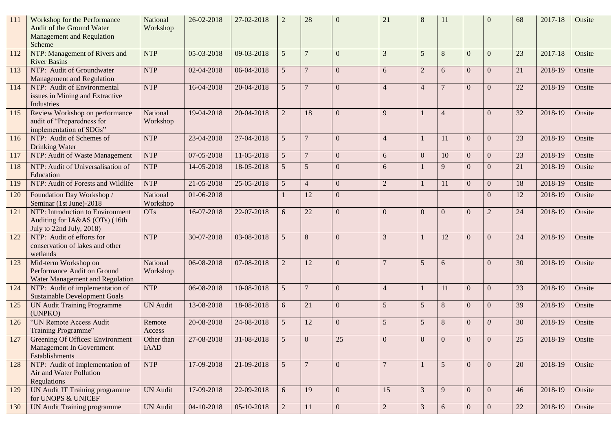| 111 | Workshop for the Performance<br>Audit of the Ground Water<br><b>Management and Regulation</b><br>Scheme | National<br>Workshop      | 26-02-2018       | 27-02-2018       | $\overline{2}$  | 28             | $\Omega$       | 21             | 8              | 11             |                | $\Omega$       | 68 | 2017-18 | Onsite |
|-----|---------------------------------------------------------------------------------------------------------|---------------------------|------------------|------------------|-----------------|----------------|----------------|----------------|----------------|----------------|----------------|----------------|----|---------|--------|
| 112 | NTP: Management of Rivers and<br><b>River Basins</b>                                                    | <b>NTP</b>                | 05-03-2018       | 09-03-2018       | 5               | $\overline{7}$ | $\Omega$       | 3              | 5              | $\,8\,$        | $\Omega$       | $\Omega$       | 23 | 2017-18 | Onsite |
| 113 | NTP: Audit of Groundwater<br>Management and Regulation                                                  | <b>NTP</b>                | 02-04-2018       | 06-04-2018       | 5               | $\overline{7}$ | $\Omega$       | 6              | $\overline{2}$ | 6              | $\Omega$       | $\Omega$       | 21 | 2018-19 | Onsite |
| 114 | NTP: Audit of Environmental<br>issues in Mining and Extractive<br>Industries                            | <b>NTP</b>                | 16-04-2018       | 20-04-2018       | 5               | $\overline{7}$ | $\Omega$       | $\overline{4}$ | $\overline{4}$ | $\overline{7}$ | $\Omega$       | $\Omega$       | 22 | 2018-19 | Onsite |
| 115 | Review Workshop on performance<br>audit of "Preparedness for<br>implementation of SDGs"                 | National<br>Workshop      | 19-04-2018       | 20-04-2018       | $\overline{2}$  | 18             | $\Omega$       | $\mathbf Q$    |                | $\overline{4}$ |                | $\Omega$       | 32 | 2018-19 | Onsite |
| 116 | NTP: Audit of Schemes of<br>Drinking Water                                                              | <b>NTP</b>                | 23-04-2018       | 27-04-2018       | 5 <sup>5</sup>  | $\overline{7}$ | $\Omega$       | $\overline{4}$ |                | 11             | $\Omega$       | $\Omega$       | 23 | 2018-19 | Onsite |
| 117 | NTP: Audit of Waste Management                                                                          | <b>NTP</b>                | 07-05-2018       | 11-05-2018       | 5               | $\overline{7}$ | $\mathbf{0}$   | 6              | $\mathbf{0}$   | 10             | $\Omega$       | $\overline{0}$ | 23 | 2018-19 | Onsite |
| 118 | NTP: Audit of Universalisation of<br>Education                                                          | <b>NTP</b>                | 14-05-2018       | 18-05-2018       | $5\overline{)}$ | 5              | $\Omega$       | 6              |                | 9              | $\Omega$       | $\Omega$       | 21 | 2018-19 | Onsite |
| 119 | NTP: Audit of Forests and Wildlife                                                                      | <b>NTP</b>                | $21 - 05 - 2018$ | 25-05-2018       | 5               | $\overline{4}$ | $\mathbf{0}$   | $\overline{2}$ |                | 11             | $\Omega$       | $\Omega$       | 18 | 2018-19 | Onsite |
| 120 | Foundation Day Workshop /<br>Seminar (1st June)-2018                                                    | National<br>Workshop      | 01-06-2018       |                  |                 | 12             | $\mathbf{0}$   |                |                |                |                | $\Omega$       | 12 | 2018-19 | Onsite |
| 121 | NTP: Introduction to Environment<br>Auditing for IA&AS (OTs) (16th<br>July to 22nd July, 2018)          | <b>OTs</b>                | 16-07-2018       | 22-07-2018       | 6               | 22             | $\mathbf{0}$   | $\Omega$       | $\mathbf{0}$   | $\mathbf{0}$   | $\Omega$       | $\overline{2}$ | 24 | 2018-19 | Onsite |
| 122 | NTP: Audit of efforts for<br>conservation of lakes and other<br>wetlands                                | <b>NTP</b>                | 30-07-2018       | 03-08-2018       | 5 <sup>5</sup>  | 8              | $\Omega$       | 3              |                | 12             | $\Omega$       | $\Omega$       | 24 | 2018-19 | Onsite |
| 123 | Mid-term Workshop on<br>Performance Audit on Ground<br>Water Management and Regulation                  | National<br>Workshop      | 06-08-2018       | 07-08-2018       | $\overline{2}$  | 12             | $\Omega$       |                | 5              | 6              |                | $\Omega$       | 30 | 2018-19 | Onsite |
| 124 | NTP: Audit of implementation of<br><b>Sustainable Development Goals</b>                                 | <b>NTP</b>                | 06-08-2018       | 10-08-2018       | 5 <sup>5</sup>  | $\overline{7}$ | $\Omega$       | $\overline{4}$ |                | 11             | $\Omega$       | $\Omega$       | 23 | 2018-19 | Onsite |
| 125 | <b>UN Audit Training Programme</b><br>(UNPKO)                                                           | <b>UN Audit</b>           | 13-08-2018       | 18-08-2018       | 6               | 21             | $\Omega$       | $\overline{5}$ | $\overline{5}$ | 8              | $\Omega$       | $\Omega$       | 39 | 2018-19 | Onsite |
| 126 | "UN Remote Access Audit<br>Training Programme"                                                          | Remote<br>Access          | 20-08-2018       | 24-08-2018       | 5 <sup>5</sup>  | 12             | $\Omega$       | $\overline{5}$ | $\overline{5}$ | 8              | $\Omega$       | $\theta$       | 30 | 2018-19 | Onsite |
| 127 | Greening Of Offices: Environment<br>Management In Government<br>Establishments                          | Other than<br><b>IAAD</b> | 27-08-2018       | $31 - 08 - 2018$ | 5               | $\mathbf{0}$   | 25             | $\overline{0}$ | $\mathbf{0}$   | $\overline{0}$ | $\theta$       | $\mathbf{0}$   | 25 | 2018-19 | Onsite |
| 128 | NTP: Audit of Implementation of<br>Air and Water Pollution<br>Regulations                               | <b>NTP</b>                | 17-09-2018       | 21-09-2018       | 5 <sup>5</sup>  | $\overline{7}$ | $\overline{0}$ | $\overline{7}$ |                | 5 <sup>5</sup> | $\theta$       | $\overline{0}$ | 20 | 2018-19 | Onsite |
| 129 | UN Audit IT Training programme<br>for UNOPS & UNICEF                                                    | <b>UN Audit</b>           | 17-09-2018       | 22-09-2018       | 6               | 19             | $\overline{0}$ | 15             | 3              | 9              | $\Omega$       | $\Omega$       | 46 | 2018-19 | Onsite |
| 130 | UN Audit Training programme                                                                             | <b>UN Audit</b>           | 04-10-2018       | 05-10-2018       | $\overline{2}$  | 11             | $\mathbf{0}$   | $\overline{2}$ | $\mathfrak{Z}$ | 6              | $\overline{0}$ | $\overline{0}$ | 22 | 2018-19 | Onsite |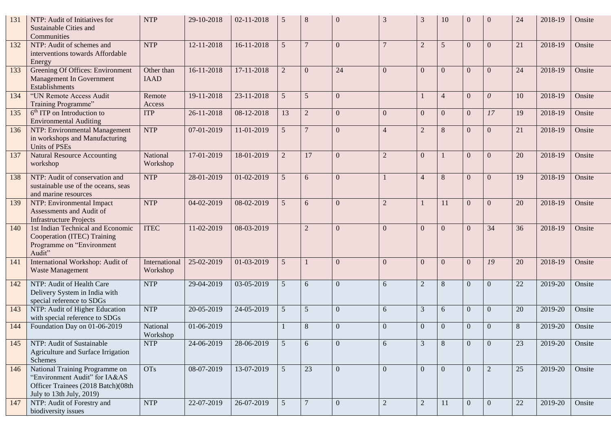| 131 | NTP: Audit of Initiatives for<br>Sustainable Cities and<br>Communities                                                            | <b>NTP</b>                | 29-10-2018 | 02-11-2018 | 5               | 8               | $\Omega$         | 3              | $\mathcal{R}$  | 10             |                | $\Omega$       | 24 | 2018-19 | Onsite |
|-----|-----------------------------------------------------------------------------------------------------------------------------------|---------------------------|------------|------------|-----------------|-----------------|------------------|----------------|----------------|----------------|----------------|----------------|----|---------|--------|
| 132 | NTP: Audit of schemes and<br>interventions towards Affordable<br>Energy                                                           | <b>NTP</b>                | 12-11-2018 | 16-11-2018 | 5               | $\overline{7}$  | $\mathbf{0}$     |                | $\overline{2}$ | 5              | $\theta$       | $\theta$       | 21 | 2018-19 | Onsite |
| 133 | Greening Of Offices: Environment<br>Management In Government<br>Establishments                                                    | Other than<br><b>IAAD</b> | 16-11-2018 | 17-11-2018 | $\overline{2}$  | $\Omega$        | 24               | $\Omega$       | $\mathbf{0}$   | $\theta$       | $\Omega$       | $\theta$       | 24 | 2018-19 | Onsite |
| 134 | "UN Remote Access Audit<br>Training Programme"                                                                                    | Remote<br>Access          | 19-11-2018 | 23-11-2018 | 5               | 5               | $\mathbf{0}$     |                | 1              | $\overline{4}$ | $\Omega$       | $\theta$       | 10 | 2018-19 | Onsite |
| 135 | $6th$ ITP on Introduction to<br><b>Environmental Auditing</b>                                                                     | <b>ITP</b>                | 26-11-2018 | 08-12-2018 | 13              | $\overline{2}$  | $\mathbf{0}$     | $\Omega$       | $\overline{0}$ | $\mathbf{0}$   | $\Omega$       | 17             | 19 | 2018-19 | Onsite |
| 136 | NTP: Environmental Management<br>in workshops and Manufacturing<br><b>Units of PSEs</b>                                           | <b>NTP</b>                | 07-01-2019 | 11-01-2019 | 5               | $\overline{7}$  | $\mathbf{0}$     | $\overline{4}$ | $\overline{2}$ | 8              | $\Omega$       | $\mathbf{0}$   | 21 | 2018-19 | Onsite |
| 137 | Natural Resource Accounting<br>workshop                                                                                           | National<br>Workshop      | 17-01-2019 | 18-01-2019 | $\overline{2}$  | 17              | $\mathbf{0}$     | $\overline{2}$ | $\mathbf{0}$   |                | $\Omega$       | $\mathbf{0}$   | 20 | 2018-19 | Onsite |
| 138 | NTP: Audit of conservation and<br>sustainable use of the oceans, seas<br>and marine resources                                     | <b>NTP</b>                | 28-01-2019 | 01-02-2019 | 5               | 6               | $\overline{0}$   |                | $\overline{4}$ | 8              | $\Omega$       | $\mathbf{0}$   | 19 | 2018-19 | Onsite |
| 139 | NTP: Environmental Impact<br>Assessments and Audit of<br><b>Infrastructure Projects</b>                                           | <b>NTP</b>                | 04-02-2019 | 08-02-2019 | 5               | 6               | $\overline{0}$   | $\overline{2}$ | 1              | 11             | $\Omega$       | $\overline{0}$ | 20 | 2018-19 | Onsite |
| 140 | 1st Indian Technical and Economic<br>Cooperation (ITEC) Training<br>Programme on "Environment<br>Audit"                           | <b>ITEC</b>               | 11-02-2019 | 08-03-2019 |                 | $\overline{2}$  | $\overline{0}$   | $\Omega$       | $\overline{0}$ | $\mathbf{0}$   | $\Omega$       | 34             | 36 | 2018-19 | Onsite |
| 141 | International Workshop: Audit of<br>Waste Management                                                                              | International<br>Workshop | 25-02-2019 | 01-03-2019 | 5               |                 | $\Omega$         | $\Omega$       | $\mathbf{0}$   | $\theta$       | $\Omega$       | 19             | 20 | 2018-19 | Onsite |
| 142 | NTP: Audit of Health Care<br>Delivery System in India with<br>special reference to SDGs                                           | <b>NTP</b>                | 29-04-2019 | 03-05-2019 | 5               | 6               | $\overline{0}$   | 6              | $\overline{2}$ | $8\phantom{.}$ | $\Omega$       | $\Omega$       | 22 | 2019-20 | Onsite |
| 143 | NTP: Audit of Higher Education<br>with special reference to SDGs                                                                  | <b>NTP</b>                | 20-05-2019 | 24-05-2019 | 5               | $5\overline{)}$ | $\overline{0}$   | 6              | 3              | 6              | $\theta$       | $\overline{0}$ | 20 | 2019-20 | Onsite |
| 144 | Foundation Day on 01-06-2019                                                                                                      | National<br>Workshop      | 01-06-2019 |            |                 | 8               | $\overline{0}$   | $\Omega$       | $\mathbf{0}$   | $\mathbf{0}$   | $\theta$       | $\theta$       | 8  | 2019-20 | Onsite |
| 145 | NTP: Audit of Sustainable<br>Agriculture and Surface Irrigation<br>Schemes                                                        | <b>NTP</b>                | 24-06-2019 | 28-06-2019 | $\mathfrak{S}$  | 6               | $\boldsymbol{0}$ | 6              | 3              | 8              | $\overline{0}$ | $\mathbf{0}$   | 23 | 2019-20 | Onsite |
| 146 | National Training Programme on<br>"Environment Audit" for IA&AS<br>Officer Trainees (2018 Batch)(08th<br>July to 13th July, 2019) | <b>OTs</b>                | 08-07-2019 | 13-07-2019 | 5 <sup>5</sup>  | 23              | $\overline{0}$   | $\theta$       | $\mathbf{0}$   | $\mathbf{0}$   | $\Omega$       | 2              | 25 | 2019-20 | Onsite |
| 147 | NTP: Audit of Forestry and<br>biodiversity issues                                                                                 | <b>NTP</b>                | 22-07-2019 | 26-07-2019 | $5\overline{)}$ | 7               | $\overline{0}$   | $\overline{2}$ | $\sqrt{2}$     | 11             | $\overline{0}$ | $\overline{0}$ | 22 | 2019-20 | Onsite |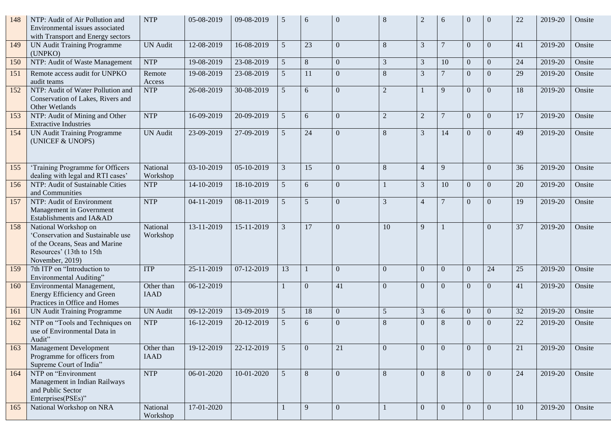| 148 | NTP: Audit of Air Pollution and<br>Environmental issues associated<br>with Transport and Energy sectors                                    | <b>NTP</b>                | 05-08-2019       | 09-08-2019 | 5              | 6              | $\Omega$       | 8              |                  | 6               | $\Omega$       | $\Omega$       | 22 | 2019-20     | Onsite |
|-----|--------------------------------------------------------------------------------------------------------------------------------------------|---------------------------|------------------|------------|----------------|----------------|----------------|----------------|------------------|-----------------|----------------|----------------|----|-------------|--------|
| 149 | UN Audit Training Programme<br>(UNPKO)                                                                                                     | <b>UN</b> Audit           | 12-08-2019       | 16-08-2019 | 5 <sup>5</sup> | 23             | $\mathbf{0}$   | 8              | 3                | $\overline{7}$  | $\Omega$       | $\Omega$       | 41 | 2019-20     | Onsite |
| 150 | NTP: Audit of Waste Management                                                                                                             | <b>NTP</b>                | 19-08-2019       | 23-08-2019 | 5 <sup>5</sup> | $8\phantom{1}$ | $\overline{0}$ | 3              | 3                | 10              | $\overline{0}$ | $\overline{0}$ | 24 | 2019-20     | Onsite |
| 151 | Remote access audit for UNPKO<br>audit teams                                                                                               | Remote<br>Access          | 19-08-2019       | 23-08-2019 | 5 <sup>5</sup> | 11             | $\mathbf{0}$   | 8              | 3                | $\overline{7}$  | $\Omega$       | $\Omega$       | 29 | 2019-20     | Onsite |
| 152 | NTP: Audit of Water Pollution and<br>Conservation of Lakes, Rivers and<br>Other Wetlands                                                   | <b>NTP</b>                | $26 - 08 - 2019$ | 30-08-2019 | 5              | 6              | $\Omega$       | $\overline{2}$ |                  | 9               | $\Omega$       | $\Omega$       | 18 | 2019-20     | Onsite |
| 153 | NTP: Audit of Mining and Other<br><b>Extractive Industries</b>                                                                             | <b>NTP</b>                | 16-09-2019       | 20-09-2019 | 5              | 6              | $\mathbf{0}$   | $\overline{2}$ | $\overline{2}$   | $\overline{7}$  | $\Omega$       | $\theta$       | 17 | 2019-20     | Onsite |
| 154 | <b>UN Audit Training Programme</b><br>(UNICEF & UNOPS)                                                                                     | <b>UN Audit</b>           | 23-09-2019       | 27-09-2019 | $\mathfrak{H}$ | 24             | $\overline{0}$ | 8              | 3                | 14              | $\Omega$       | $\Omega$       | 49 | 2019-20     | Onsite |
| 155 | 'Training Programme for Officers<br>dealing with legal and RTI cases'                                                                      | National<br>Workshop      | 03-10-2019       | 05-10-2019 | 3              | 15             | $\overline{0}$ | 8              | $\overline{4}$   | 9               |                | $\overline{0}$ | 36 | 2019-20     | Onsite |
| 156 | NTP: Audit of Sustainable Cities<br>and Communities                                                                                        | <b>NTP</b>                | 14-10-2019       | 18-10-2019 | 5 <sup>5</sup> | 6              | $\mathbf{0}$   |                | 3                | 10              | $\Omega$       | $\Omega$       | 20 | 2019-20     | Onsite |
| 157 | NTP: Audit of Environment<br>Management in Government<br>Establishments and IA&AD                                                          | <b>NTP</b>                | 04-11-2019       | 08-11-2019 | 5 <sup>5</sup> | 5              | $\Omega$       | 3              | $\overline{4}$   | $7\phantom{.0}$ | $\Omega$       | $\Omega$       | 19 | 2019-20     | Onsite |
| 158 | National Workshop on<br>'Conservation and Sustainable use<br>of the Oceans, Seas and Marine<br>Resources' (13th to 15th<br>November, 2019) | National<br>Workshop      | 13-11-2019       | 15-11-2019 | $\overline{3}$ | 17             | $\Omega$       | 10             | $\mathbf{Q}$     |                 |                | $\Omega$       | 37 | 2019-20     | Onsite |
| 159 | 7th ITP on "Introduction to<br>Environmental Auditing"                                                                                     | <b>ITP</b>                | 25-11-2019       | 07-12-2019 | 13             |                | $\Omega$       | $\Omega$       | $\Omega$         | $\Omega$        | $\Omega$       | 24             | 25 | 2019-20     | Onsite |
| 160 | Environmental Management,<br>Energy Efficiency and Green<br>Practices in Office and Homes                                                  | Other than<br><b>IAAD</b> | 06-12-2019       |            |                | $\mathbf{0}$   | 41             | $\Omega$       | $\mathbf{0}$     | $\overline{0}$  | $\Omega$       | $\Omega$       | 41 | 2019-20     | Onsite |
| 161 | <b>UN Audit Training Programme</b>                                                                                                         | <b>UN</b> Audit           | 09-12-2019       | 13-09-2019 | 5 <sup>5</sup> | 18             | $\mathbf{0}$   | 5 <sup>5</sup> | 3                | 6               | $\Omega$       | $\overline{0}$ | 32 | 2019-20     | Onsite |
| 162 | NTP on "Tools and Techniques on<br>use of Environmental Data in<br>Audit"                                                                  | <b>NTP</b>                | 16-12-2019       | 20-12-2019 | 5              | 6              | $\Omega$       | 8              | $\Omega$         | $\,8\,$         | $\Omega$       | $\Omega$       | 22 | 2019-20     | Onsite |
| 163 | <b>Management Development</b><br>Programme for officers from<br>Supreme Court of India"                                                    | Other than<br><b>IAAD</b> | 19-12-2019       | 22-12-2019 | 5 <sup>5</sup> | $\overline{0}$ | 21             | $\Omega$       | $\boldsymbol{0}$ | $\overline{0}$  | $\Omega$       | $\theta$       | 21 | 2019-20     | Onsite |
| 164 | NTP on "Environment<br>Management in Indian Railways<br>and Public Sector<br>Enterprises(PSEs)"                                            | <b>NTP</b>                | 06-01-2020       | 10-01-2020 | 5 <sup>5</sup> | 8              | $\overline{0}$ | 8              | $\Omega$         | 8               | $\Omega$       | $\theta$       | 24 | 2019-20     | Onsite |
| 165 | National Workshop on NRA                                                                                                                   | National<br>Workshop      | 17-01-2020       |            |                | 9              | $\overline{0}$ | 1              | $\mathbf{0}$     | $\mathbf{0}$    | $\Omega$       | $\overline{0}$ | 10 | $2019 - 20$ | Onsite |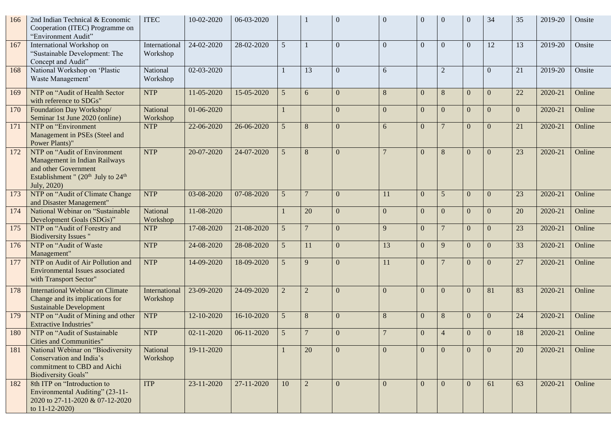| 166 | 2nd Indian Technical & Economic<br>Cooperation (ITEC) Programme on<br>"Environment Audit"                                                      | <b>ITEC</b>               | 10-02-2020       | 06-03-2020 |                 |                | $\Omega$       | $\Omega$ | $\Omega$       | $\overline{0}$  | $\Omega$       | 34             | 35           | 2019-20 | Onsite |
|-----|------------------------------------------------------------------------------------------------------------------------------------------------|---------------------------|------------------|------------|-----------------|----------------|----------------|----------|----------------|-----------------|----------------|----------------|--------------|---------|--------|
| 167 | International Workshop on<br>"Sustainable Development: The<br>Concept and Audit"                                                               | International<br>Workshop | 24-02-2020       | 28-02-2020 | 5               |                | $\Omega$       | $\Omega$ | $\overline{0}$ | $\theta$        | $\Omega$       | 12             | 13           | 2019-20 | Onsite |
| 168 | National Workshop on 'Plastic<br>Waste Management'                                                                                             | National<br>Workshop      | 02-03-2020       |            |                 | 13             | $\Omega$       | 6        |                | $\overline{2}$  |                | $\theta$       | 21           | 2019-20 | Onsite |
| 169 | NTP on "Audit of Health Sector<br>with reference to SDGs"                                                                                      | <b>NTP</b>                | 11-05-2020       | 15-05-2020 | 5               | 6              | $\mathbf{0}$   | 8        | $\overline{0}$ | 8               | $\theta$       | $\theta$       | 22           | 2020-21 | Online |
| 170 | Foundation Day Workshop/<br>Seminar 1st June 2020 (online)                                                                                     | National<br>Workshop      | 01-06-2020       |            |                 |                | $\mathbf{0}$   | $\Omega$ | $\mathbf{0}$   | $\mathbf{0}$    | $\theta$       | $\Omega$       | $\mathbf{0}$ | 2020-21 | Online |
| 171 | NTP on "Environment<br>Management in PSEs (Steel and<br>Power Plants)"                                                                         | <b>NTP</b>                | 22-06-2020       | 26-06-2020 | 5               | 8              | $\mathbf{0}$   | 6        | $\overline{0}$ | $7\phantom{.0}$ | $\Omega$       | $\Omega$       | 21           | 2020-21 | Online |
| 172 | NTP on "Audit of Environment<br>Management in Indian Railways<br>and other Government<br>Establishment " $(20th$ July to $24th$<br>July, 2020) | <b>NTP</b>                | 20-07-2020       | 24-07-2020 | 5               | 8              | $\mathbf{0}$   |          | $\mathbf{0}$   | 8               | $\Omega$       | $\theta$       | 23           | 2020-21 | Online |
| 173 | NTP on "Audit of Climate Change<br>and Disaster Management"                                                                                    | <b>NTP</b>                | 03-08-2020       | 07-08-2020 | $5\overline{)}$ | $\overline{7}$ | $\overline{0}$ | 11       | $\mathbf{0}$   | 5               | $\overline{0}$ | $\overline{0}$ | 23           | 2020-21 | Online |
| 174 | National Webinar on "Sustainable<br>Development Goals (SDGs)"                                                                                  | National<br>Workshop      | 11-08-2020       |            |                 | 20             | $\overline{0}$ | $\Omega$ | $\theta$       | $\mathbf{0}$    | $\theta$       | $\theta$       | 20           | 2020-21 | Online |
| 175 | NTP on "Audit of Forestry and<br><b>Biodiversity Issues</b> "                                                                                  | <b>NTP</b>                | 17-08-2020       | 21-08-2020 | 5               | $\overline{7}$ | $\overline{0}$ | 9        | $\overline{0}$ | $\overline{7}$  | $\theta$       | $\Omega$       | 23           | 2020-21 | Online |
| 176 | NTP on "Audit of Waste<br>Management"                                                                                                          | <b>NTP</b>                | 24-08-2020       | 28-08-2020 | 5               | 11             | $\overline{0}$ | 13       | $\overline{0}$ | 9               | $\theta$       | $\Omega$       | 33           | 2020-21 | Online |
| 177 | NTP on Audit of Air Pollution and<br>Environmental Issues associated<br>with Transport Sector"                                                 | <b>NTP</b>                | 14-09-2020       | 18-09-2020 | 5               | 9              | $\Omega$       | 11       | $\overline{0}$ | $\overline{7}$  | $\theta$       | $\theta$       | 27           | 2020-21 | Online |
| 178 | International Webinar on Climate<br>Change and its implications for<br><b>Sustainable Development</b>                                          | International<br>Workshop | 23-09-2020       | 24-09-2020 | $\overline{2}$  | $\overline{2}$ | $\overline{0}$ | $\Omega$ | $\theta$       | $\overline{0}$  | $\Omega$       | 81             | 83           | 2020-21 | Online |
| 179 | NTP on "Audit of Mining and other<br><b>Extractive Industries"</b>                                                                             | <b>NTP</b>                | 12-10-2020       | 16-10-2020 | 5               | 8              | $\overline{0}$ | 8        | $\mathbf{0}$   | 8               | $\overline{0}$ | $\mathbf{0}$   | 24           | 2020-21 | Online |
| 180 | NTP on "Audit of Sustainable"<br>Cities and Communities                                                                                        | <b>NTP</b>                | $02 - 11 - 2020$ | 06-11-2020 | $\mathfrak{S}$  | $\overline{7}$ | $\overline{0}$ |          | $\mathbf{0}$   | $\overline{4}$  | $\overline{0}$ | $\mathbf{0}$   | 18           | 2020-21 | Online |
| 181 | National Webinar on "Biodiversity<br>Conservation and India's<br>commitment to CBD and Aichi<br><b>Biodiversity Goals"</b>                     | National<br>Workshop      | 19-11-2020       |            |                 | 20             | $\overline{0}$ | $\Omega$ | $\Omega$       | $\overline{0}$  | $\Omega$       | $\theta$       | 20           | 2020-21 | Online |
| 182 | 8th ITP on "Introduction to<br>Environmental Auditing" (23-11-<br>2020 to 27-11-2020 & 07-12-2020<br>to $11 - 12 - 2020$                       | <b>ITP</b>                | 23-11-2020       | 27-11-2020 | 10              | 2              | $\overline{0}$ | $\Omega$ | $\theta$       | $\overline{0}$  | $\Omega$       | 61             | 63           | 2020-21 | Online |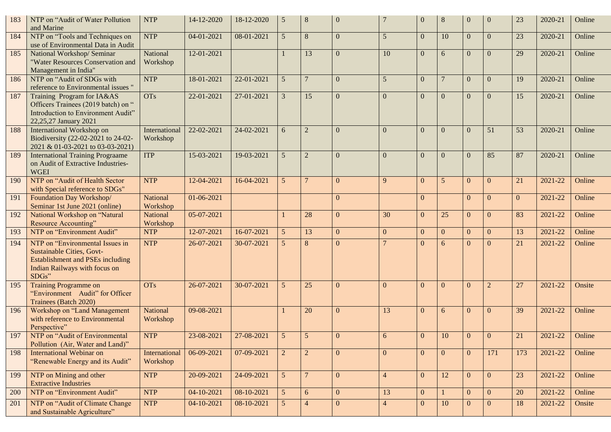| 183 | NTP on "Audit of Water Pollution<br>and Marine                                                                                                              | <b>NTP</b>                | 14-12-2020       | 18-12-2020 | 5               | 8               | $\overline{0}$ |                | $\theta$       | $\,8\,$         | $\Omega$       | $\Omega$       | 23             | 2020-21 | Online |
|-----|-------------------------------------------------------------------------------------------------------------------------------------------------------------|---------------------------|------------------|------------|-----------------|-----------------|----------------|----------------|----------------|-----------------|----------------|----------------|----------------|---------|--------|
| 184 | NTP on "Tools and Techniques on<br>use of Environmental Data in Audit                                                                                       | <b>NTP</b>                | 04-01-2021       | 08-01-2021 | $\mathfrak{S}$  | $8\phantom{.}$  | $\overline{0}$ | 5 <sup>5</sup> | $\overline{0}$ | 10              | $\Omega$       | $\Omega$       | 23             | 2020-21 | Online |
| 185 | National Workshop/ Seminar<br>"Water Resources Conservation and<br>Management in India"                                                                     | National<br>Workshop      | 12-01-2021       |            |                 | 13              | $\overline{0}$ | 10             | $\overline{0}$ | 6               | $\Omega$       | $\theta$       | 29             | 2020-21 | Online |
| 186 | NTP on "Audit of SDGs with<br>reference to Environmental issues "                                                                                           | <b>NTP</b>                | 18-01-2021       | 22-01-2021 | $5\overline{)}$ | $\overline{7}$  | $\Omega$       | $\overline{5}$ | $\overline{0}$ | $7\phantom{.0}$ | $\Omega$       | $\Omega$       | 19             | 2020-21 | Online |
| 187 | Training Program for IA&AS<br>Officers Trainees (2019 batch) on "<br>Introduction to Environment Audit"<br>22,25,27 January 2021                            | <b>OTs</b>                | 22-01-2021       | 27-01-2021 | $\overline{3}$  | 15              | $\Omega$       | $\Omega$       | $\mathbf{0}$   | $\overline{0}$  | $\Omega$       | $\Omega$       | 15             | 2020-21 | Online |
| 188 | International Workshop on<br>Biodiversity (22-02-2021 to 24-02-<br>2021 & 01-03-2021 to 03-03-2021)                                                         | International<br>Workshop | 22-02-2021       | 24-02-2021 | 6               | $\overline{2}$  | $\Omega$       | $\Omega$       | $\mathbf{0}$   | $\overline{0}$  | $\Omega$       | 51             | 53             | 2020-21 | Online |
| 189 | <b>International Training Prograame</b><br>on Audit of Extractive Industries-<br><b>WGEI</b>                                                                | <b>ITP</b>                | $15 - 03 - 2021$ | 19-03-2021 | $5\overline{)}$ | $\overline{2}$  | $\overline{0}$ | $\Omega$       | $\mathbf{0}$   | $\overline{0}$  | $\Omega$       | 85             | 87             | 2020-21 | Online |
| 190 | NTP on "Audit of Health Sector<br>with Special reference to SDGs"                                                                                           | <b>NTP</b>                | 12-04-2021       | 16-04-2021 | $5\phantom{.0}$ | $7\phantom{.0}$ | $\overline{0}$ | 9              | $\overline{0}$ | $5\phantom{.0}$ | $\overline{0}$ | $\theta$       | 21             | 2021-22 | Online |
| 191 | Foundation Day Workshop/<br>Seminar 1st June 2021 (online)                                                                                                  | National<br>Workshop      | 01-06-2021       |            |                 |                 | $\overline{0}$ |                | $\overline{0}$ |                 | $\Omega$       | $\theta$       | $\overline{0}$ | 2021-22 | Online |
| 192 | National Workshop on "Natural<br>Resource Accounting"                                                                                                       | National<br>Workshop      | 05-07-2021       |            |                 | 28              | $\mathbf{0}$   | 30             | $\overline{0}$ | 25              | $\overline{0}$ | $\Omega$       | 83             | 2021-22 | Online |
| 193 | NTP on "Environment Audit"                                                                                                                                  | <b>NTP</b>                | 12-07-2021       | 16-07-2021 | $\mathfrak{S}$  | 13              | $\overline{0}$ | $\overline{0}$ | $\overline{0}$ | $\overline{0}$  | $\overline{0}$ | $\overline{0}$ | 13             | 2021-22 | Online |
| 194 | NTP on "Environmental Issues in<br><b>Sustainable Cities, Govt-</b><br><b>Establishment and PSEs including</b><br>Indian Railways with focus on<br>$SDGs$ " | <b>NTP</b>                | 26-07-2021       | 30-07-2021 | 5 <sup>5</sup>  | 8               | $\Omega$       |                | $\Omega$       | 6               | $\Omega$       | $\Omega$       | 21             | 2021-22 | Online |
| 195 | <b>Training Programme on</b><br>"Environment Audit" for Officer<br>Trainees (Batch 2020)                                                                    | <b>OTs</b>                | 26-07-2021       | 30-07-2021 | 5               | 25              | $\Omega$       | $\Omega$       | $\overline{0}$ | $\mathbf{0}$    | $\overline{0}$ | $\overline{2}$ | 27             | 2021-22 | Onsite |
| 196 | Workshop on "Land Management<br>with reference to Environmental<br>Perspective"                                                                             | National<br>Workshop      | 09-08-2021       |            |                 | 20              | $\Omega$       | 13             | $\overline{0}$ | 6               | $\Omega$       | $\Omega$       | 39             | 2021-22 | Online |
| 197 | NTP on "Audit of Environmental<br>Pollution (Air, Water and Land)"                                                                                          | <b>NTP</b>                | 23-08-2021       | 27-08-2021 | 5               | 5               | $\Omega$       | 6              | $\overline{0}$ | 10              | $\mathbf{0}$   | $\theta$       | 21             | 2021-22 | Online |
| 198 | <b>International Webinar on</b><br>"Renewable Energy and its Audit"                                                                                         | International<br>Workshop | 06-09-2021       | 07-09-2021 | $\overline{2}$  | $\overline{2}$  | $\overline{0}$ | $\overline{0}$ | $\mathbf{0}$   | $\overline{0}$  | $\Omega$       | 171            | 173            | 2021-22 | Online |
| 199 | NTP on Mining and other<br><b>Extractive Industries</b>                                                                                                     | <b>NTP</b>                | 20-09-2021       | 24-09-2021 | $5\overline{)}$ | $7\phantom{.0}$ | $\overline{0}$ | $\overline{4}$ | $\overline{0}$ | 12              | $\Omega$       | $\overline{0}$ | 23             | 2021-22 | Online |
| 200 | NTP on "Environment Audit"                                                                                                                                  | <b>NTP</b>                | 04-10-2021       | 08-10-2021 | 5 <sup>5</sup>  | 6               | $\overline{0}$ | 13             | $\mathbf{0}$   | $\mathbf{1}$    | $\Omega$       | $\overline{0}$ | 20             | 2021-22 | Online |
| 201 | NTP on "Audit of Climate Change<br>and Sustainable Agriculture"                                                                                             | <b>NTP</b>                | 04-10-2021       | 08-10-2021 | 5 <sup>5</sup>  | $\overline{4}$  | $\overline{0}$ | $\overline{4}$ | $\mathbf{0}$   | 10              | $\overline{0}$ | $\mathbf{0}$   | 18             | 2021-22 | Onsite |